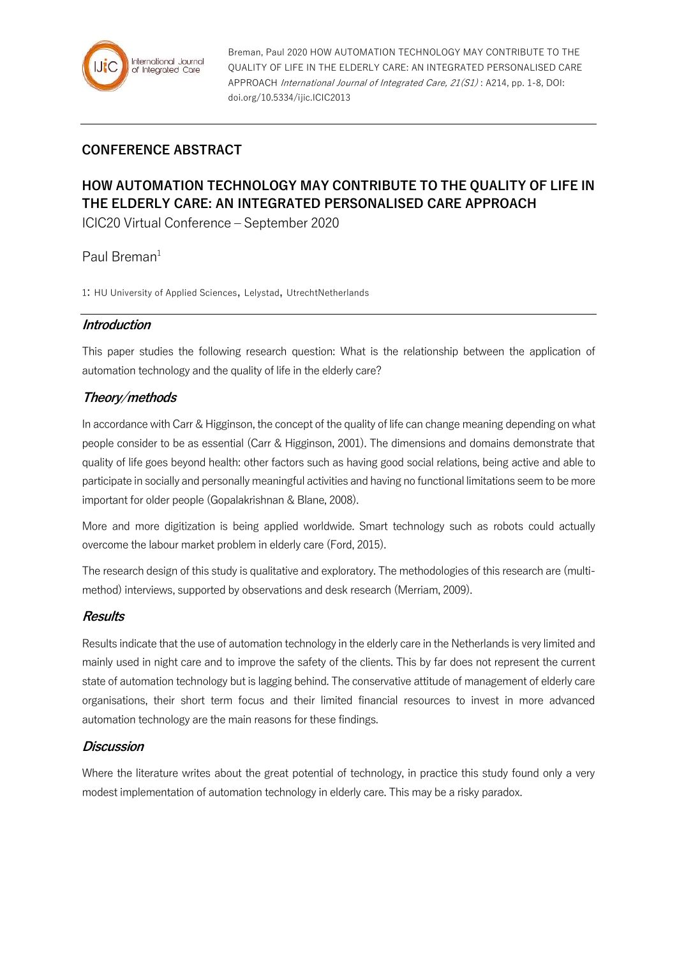

Breman, Paul 2020 HOW AUTOMATION TECHNOLOGY MAY CONTRIBUTE TO THE QUALITY OF LIFE IN THE ELDERLY CARE: AN INTEGRATED PERSONALISED CARE APPROACH International Journal of Integrated Care, 21(S1) : A214, pp. 1-8, DOI: doi.org/10.5334/ijic.ICIC2013

# **CONFERENCE ABSTRACT**

# **HOW AUTOMATION TECHNOLOGY MAY CONTRIBUTE TO THE QUALITY OF LIFE IN THE ELDERLY CARE: AN INTEGRATED PERSONALISED CARE APPROACH**

ICIC20 Virtual Conference – September 2020

Paul Breman $1$ 

1: HU University of Applied Sciences, Lelystad, UtrechtNetherlands

#### **Introduction**

This paper studies the following research question: What is the relationship between the application of automation technology and the quality of life in the elderly care?

# **Theory/methods**

In accordance with Carr & Higginson, the concept of the quality of life can change meaning depending on what people consider to be as essential (Carr & Higginson, 2001). The dimensions and domains demonstrate that quality of life goes beyond health: other factors such as having good social relations, being active and able to participate in socially and personally meaningful activities and having no functional limitations seem to be more important for older people (Gopalakrishnan & Blane, 2008).

More and more digitization is being applied worldwide. Smart technology such as robots could actually overcome the labour market problem in elderly care (Ford, 2015).

The research design of this study is qualitative and exploratory. The methodologies of this research are (multimethod) interviews, supported by observations and desk research (Merriam, 2009).

#### **Results**

Results indicate that the use of automation technology in the elderly care in the Netherlands is very limited and mainly used in night care and to improve the safety of the clients. This by far does not represent the current state of automation technology but is lagging behind. The conservative attitude of management of elderly care organisations, their short term focus and their limited financial resources to invest in more advanced automation technology are the main reasons for these findings.

#### **Discussion**

Where the literature writes about the great potential of technology, in practice this study found only a very modest implementation of automation technology in elderly care. This may be a risky paradox.